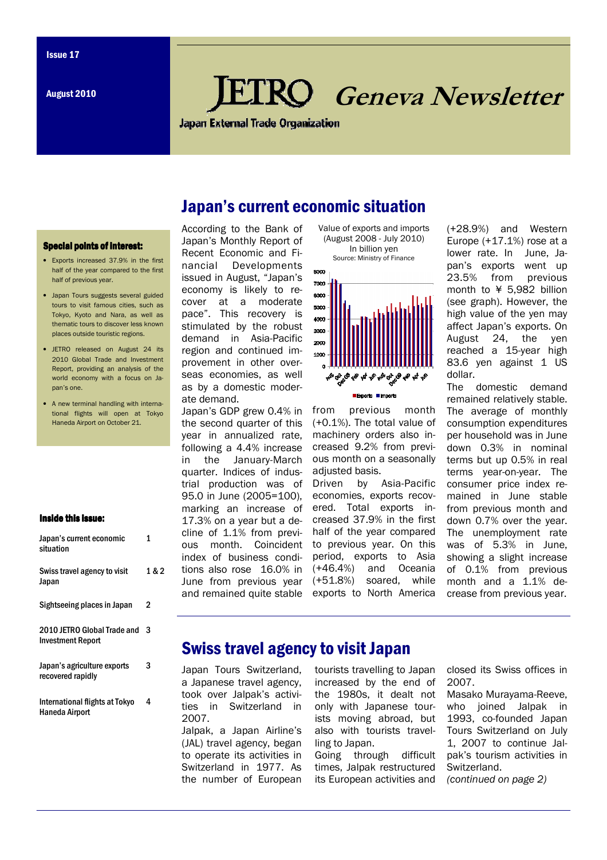# **RO** Geneva Newsletter

**Japan External Trade Organization** 

## Japan's current economic situation

#### Special points of interest:

- Exports increased 37.9% in the first half of the year compared to the first half of previous year.
- Japan Tours suggests several guided tours to visit famous cities, such as Tokyo, Kyoto and Nara, as well as thematic tours to discover less known places outside touristic regions.
- JETRO released on August 24 its 2010 Global Trade and Investment Report, providing an analysis of the world economy with a focus on Japan's one.
- A new terminal handling with international flights will open at Tokyo Haneda Airport on October 21.

#### Inside this issue:

| Japan's current economic<br>situation                   | 1     |
|---------------------------------------------------------|-------|
| Swiss travel agency to visit<br>Japan                   | 1 & 2 |
| Sightseeing places in Japan                             | 2     |
| 2010 JETRO Global Trade and<br><b>Investment Report</b> | 3     |
| Japan's agriculture exports<br>recovered rapidly        | 3     |
| International flights at Tokyo<br><b>Haneda Airport</b> | 4     |

According to the Bank of Japan's Monthly Report of Recent Economic and Financial Developments issued in August, "Japan's economy is likely to recover at a moderate pace". This recovery is stimulated by the robust demand in Asia-Pacific region and continued improvement in other overseas economies, as well as by a domestic moderate demand.

Japan's GDP grew 0.4% in the second quarter of this year in annualized rate, following a 4.4% increase in the January-March quarter. Indices of industrial production was of 95.0 in June (2005=100), marking an increase of 17.3% on a year but a decline of 1.1% from previous month. Coincident index of business conditions also rose 16.0% in June from previous year and remained quite stable





from previous month (+0.1%). The total value of machinery orders also increased 9.2% from previous month on a seasonally adjusted basis.

Driven by Asia-Pacific economies, exports recovered. Total exports increased 37.9% in the first half of the year compared to previous year. On this period, exports to Asia (+46.4%) and Oceania (+51.8%) soared, while exports to North America

(+28.9%) and Western Europe (+17.1%) rose at a lower rate. In June, Japan's exports went up 23.5% from previous month to ¥ 5,982 billion (see graph). However, the high value of the yen may affect Japan's exports. On August 24, the yen reached a 15-year high 83.6 yen against 1 US dollar.

The domestic demand remained relatively stable. The average of monthly consumption expenditures per household was in June down 0.3% in nominal terms but up 0.5% in real terms year-on-year. The consumer price index remained in June stable from previous month and down 0.7% over the year. The unemployment rate was of 5.3% in June, showing a slight increase of 0.1% from previous month and a 1.1% decrease from previous year.

### Swiss travel agency to visit Japan

Japan Tours Switzerland, a Japanese travel agency, took over Jalpak's activities in Switzerland in 2007.

Jalpak, a Japan Airline's (JAL) travel agency, began to operate its activities in Switzerland in 1977. As the number of European

tourists travelling to Japan increased by the end of the 1980s, it dealt not only with Japanese tourists moving abroad, but also with tourists travelling to Japan.

Going through difficult times, Jalpak restructured its European activities and closed its Swiss offices in 2007.

Masako Murayama-Reeve, who joined Jalpak in 1993, co-founded Japan Tours Switzerland on July 1, 2007 to continue Jalpak's tourism activities in Switzerland. (continued on page 2)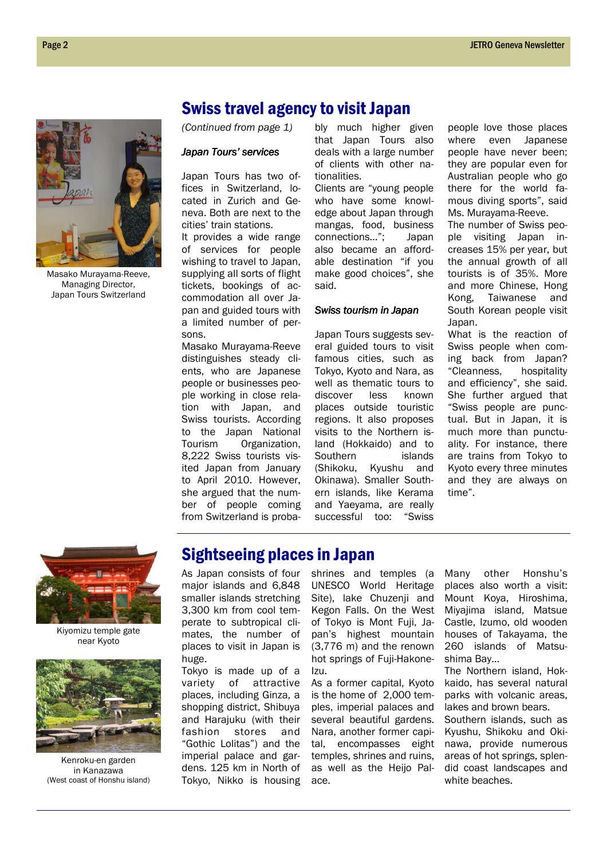

Masako Murayama-Reeve, Managing Director, Japan Tours Switzerland

### Swiss travel agency to visit Japan

(Continued from page 1)

#### Japan Tours' services

Japan Tours has two offices in Switzerland, located in Zurich and Geneva. Both are next to the cities' train stations.

It provides a wide range of services for people wishing to travel to Japan, supplying all sorts of flight tickets, bookings of accommodation all over Japan and guided tours with a limited number of persons.

Masako Murayama-Reeve distinguishes steady clients, who are Japanese people or businesses people working in close relation with Japan, and Swiss tourists. According to the Japan National Tourism Organization, 8,222 Swiss tourists visited Japan from January to April 2010. However, she argued that the number of people coming from Switzerland is proba-

bly much higher given that Japan Tours also deals with a large number of clients with other nationalities.

Clients are "young people who have some knowledge about Japan through mangas, food, business connections…"; Japan also became an affordable destination "if you make good choices", she said.

#### Swiss tourism in Japan

Japan Tours suggests several guided tours to visit famous cities, such as Tokyo, Kyoto and Nara, as well as thematic tours to discover less known places outside touristic regions. It also proposes visits to the Northern island (Hokkaido) and to Southern islands (Shikoku, Kyushu and Okinawa). Smaller Southern islands, like Kerama and Yaeyama, are really successful too: "Swiss people love those places where even Japanese people have never been; they are popular even for Australian people who go there for the world famous diving sports", said Ms. Murayama-Reeve.

The number of Swiss people visiting Japan increases 15% per year, but the annual growth of all tourists is of 35%. More and more Chinese, Hong Kong, Taiwanese and South Korean people visit Japan.

What is the reaction of Swiss people when coming back from Japan? "Cleanness, hospitality and efficiency", she said. She further argued that "Swiss people are punctual. But in Japan, it is much more than punctuality. For instance, there are trains from Tokyo to Kyoto every three minutes and they are always on time".



Kiyomizu temple gate near Kyoto



Kenroku-en garden in Kanazawa (West coast of Honshu island)

# Sightseeing places in Japan

As Japan consists of four major islands and 6,848 smaller islands stretching 3,300 km from cool temperate to subtropical climates, the number of places to visit in Japan is huge.

Tokyo is made up of a variety of attractive places, including Ginza, a shopping district, Shibuya and Harajuku (with their fashion stores and "Gothic Lolitas") and the imperial palace and gardens. 125 km in North of Tokyo, Nikko is housing shrines and temples (a UNESCO World Heritage Site), lake Chuzenji and Kegon Falls. On the West of Tokyo is Mont Fuji, Japan's highest mountain (3,776 m) and the renown hot springs of Fuji-Hakone-Izu.

As a former capital, Kyoto is the home of 2,000 temples, imperial palaces and several beautiful gardens. Nara, another former capital, encompasses eight temples, shrines and ruins, as well as the Heijo Palace.

Many other Honshu's places also worth a visit: Mount Koya, Hiroshima, Miyajima island, Matsue Castle, Izumo, old wooden houses of Takayama, the 260 islands of Matsushima Bay…

The Northern island, Hokkaido, has several natural parks with volcanic areas, lakes and brown bears. Southern islands, such as Kyushu, Shikoku and Okinawa, provide numerous

areas of hot springs, splendid coast landscapes and white beaches.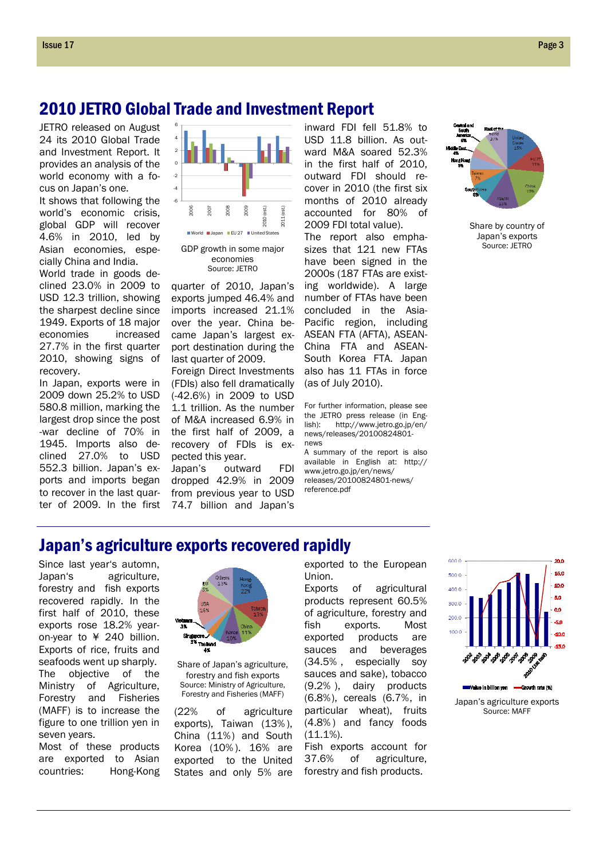### 2010 JETRO Global Trade and Investment Report

JETRO released on August 24 its 2010 Global Trade and Investment Report. It provides an analysis of the world economy with a focus on Japan's one.

It shows that following the world's economic crisis, global GDP will recover 4.6% in 2010, led by Asian economies, especially China and India.

World trade in goods declined 23.0% in 2009 to USD 12.3 trillion, showing the sharpest decline since 1949. Exports of 18 major economies increased 27.7% in the first quarter 2010, showing signs of recovery.

In Japan, exports were in 2009 down 25.2% to USD 580.8 million, marking the largest drop since the post -war decline of 70% in 1945. Imports also declined 27.0% to USD 552.3 billion. Japan's exports and imports began to recover in the last quarter of 2009. In the first



GDP growth in some major economies Source: JETRO

quarter of 2010, Japan's exports jumped 46.4% and imports increased 21.1% over the year. China became Japan's largest export destination during the last quarter of 2009.

Foreign Direct Investments (FDIs) also fell dramatically (-42.6%) in 2009 to USD 1.1 trillion. As the number of M&A increased 6.9% in the first half of 2009, a recovery of FDIs is expected this year.

Japan's outward FDI dropped 42.9% in 2009 from previous year to USD 74.7 billion and Japan's inward FDI fell 51.8% to USD 11.8 billion. As outward M&A soared 52.3% in the first half of 2010, outward FDI should recover in 2010 (the first six months of 2010 already accounted for 80% of 2009 FDI total value).

The report also emphasizes that 121 new FTAs have been signed in the 2000s (187 FTAs are existing worldwide). A large number of FTAs have been concluded in the Asia-Pacific region, including ASEAN FTA (AFTA), ASEAN-China FTA and ASEAN-South Korea FTA. Japan also has 11 FTAs in force (as of July 2010).

For further information, please see the JETRO press release (in Eng-<br>lish): http://www.ietro.go.in/en/ http://www.jetro.go.jp/en/ news/releases/20100824801 news

A summary of the report is also available in English at: http:// www.jetro.go.jp/en/news/ releases/20100824801-news/ reference.pdf



Share by country of Japan's exports Source: JETRO

### Japan's agriculture exports recovered rapidly

Since last year's automn, Japan's agriculture, forestry and fish exports recovered rapidly. In the first half of 2010, these exports rose 18.2% yearon-year to ¥ 240 billion. Exports of rice, fruits and seafoods went up sharply. The objective of the Ministry of Agriculture, Forestry and Fisheries (MAFF) is to increase the figure to one trillion yen in seven years.

Most of these products are exported to Asian countries: Hong-Kong



Share of Japan's agriculture, forestry and fish exports Source: Ministry of Agriculture, Forestry and Fisheries (MAFF)

(22% of agriculture exports), Taiwan (13% ), China (11%) and South Korea (10% ). 16% are exported to the United States and only 5% are exported to the European Union.

Exports of agricultural products represent 60.5% of agriculture, forestry and fish exports. Most exported products are sauces and beverages (34.5% , especially soy sauces and sake), tobacco (9.2% ), dairy products (6.8%), cereals (6.7%, in particular wheat), fruits (4.8% ) and fancy foods (11.1%).

Fish exports account for 37.6% of agriculture, forestry and fish products.



Japan's agriculture exports Source: MAFF